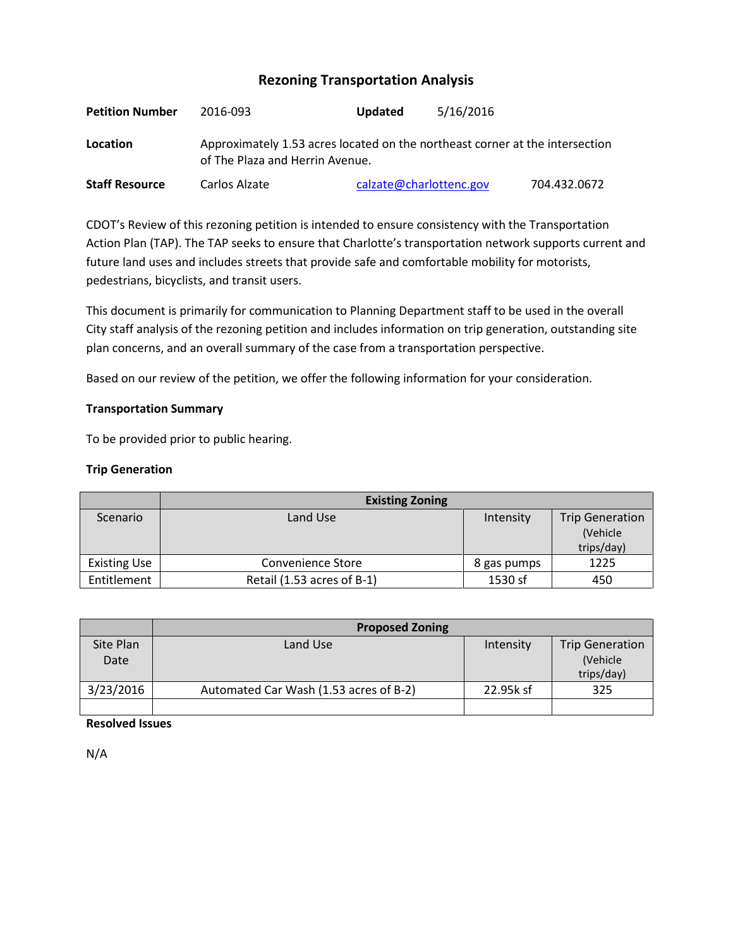# **Rezoning Transportation Analysis**

| <b>Petition Number</b> | 2016-093                                                                                                        | <b>Updated</b>          | 5/16/2016 |              |  |  |
|------------------------|-----------------------------------------------------------------------------------------------------------------|-------------------------|-----------|--------------|--|--|
| Location               | Approximately 1.53 acres located on the northeast corner at the intersection<br>of The Plaza and Herrin Avenue. |                         |           |              |  |  |
| <b>Staff Resource</b>  | Carlos Alzate                                                                                                   | calzate@charlottenc.gov |           | 704.432.0672 |  |  |

CDOT's Review of this rezoning petition is intended to ensure consistency with the Transportation Action Plan (TAP). The TAP seeks to ensure that Charlotte's transportation network supports current and future land uses and includes streets that provide safe and comfortable mobility for motorists, pedestrians, bicyclists, and transit users.

This document is primarily for communication to Planning Department staff to be used in the overall City staff analysis of the rezoning petition and includes information on trip generation, outstanding site plan concerns, and an overall summary of the case from a transportation perspective.

Based on our review of the petition, we offer the following information for your consideration.

# **Transportation Summary**

To be provided prior to public hearing.

# **Trip Generation**

|                     | <b>Existing Zoning</b>     |             |                        |  |
|---------------------|----------------------------|-------------|------------------------|--|
| Scenario            | Land Use                   | Intensity   | <b>Trip Generation</b> |  |
|                     |                            |             | (Vehicle)              |  |
|                     |                            |             | trips/day)             |  |
| <b>Existing Use</b> | Convenience Store          | 8 gas pumps | 1225                   |  |
| Entitlement         | Retail (1.53 acres of B-1) | 1530 sf     | 450                    |  |

|                   | <b>Proposed Zoning</b>                 |           |                                                  |  |
|-------------------|----------------------------------------|-----------|--------------------------------------------------|--|
| Site Plan<br>Date | Land Use                               | Intensity | <b>Trip Generation</b><br>(Vehicle<br>trips/day) |  |
| 3/23/2016         | Automated Car Wash (1.53 acres of B-2) | 22.95k sf | 325                                              |  |
|                   |                                        |           |                                                  |  |

**Resolved Issues**

N/A